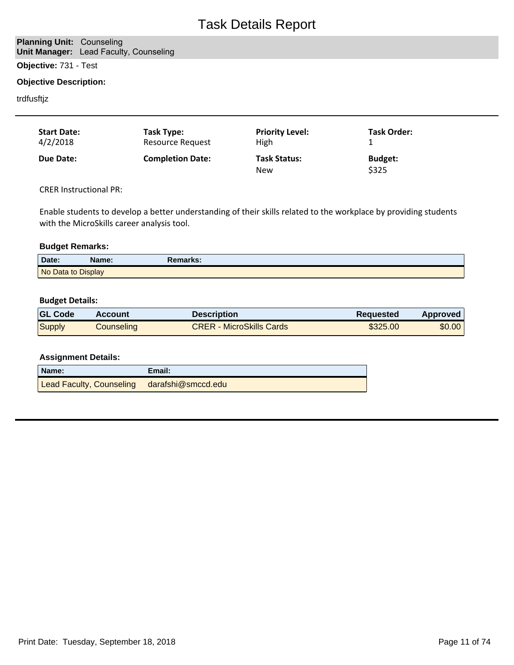### **Planning Unit: Counseling Unit Manager:** Lead Faculty, Counseling

**Objective:** 731 - Test

### **Objective Description:**

trdfusftjz

| <b>Start Date:</b> | Task Type:              | <b>Priority Level:</b>            | <b>Task Order:</b>      |
|--------------------|-------------------------|-----------------------------------|-------------------------|
| 4/2/2018           | <b>Resource Request</b> | <b>High</b>                       |                         |
| Due Date:          | <b>Completion Date:</b> | <b>Task Status:</b><br><b>New</b> | <b>Budget:</b><br>\$325 |

### CRER Instructional PR:

Enable students to develop a better understanding of their skills related to the workplace by providing students with the MicroSkills career analysis tool.

### **Budget Remarks:**

| Date:              | Name: | Remarks: |  |
|--------------------|-------|----------|--|
| No Data to Display |       |          |  |

### **Budget Details:**

| <b>GL Code</b> | <b>Account</b>    | <b>Description</b>              | <b>Requested</b> | Approved |
|----------------|-------------------|---------------------------------|------------------|----------|
| Supply         | <b>Counseling</b> | <b>CRER - MicroSkills Cards</b> | \$325.00         | \$0.00   |

| Name:                                       | Email: |
|---------------------------------------------|--------|
| Lead Faculty, Counseling darafshi@smccd.edu |        |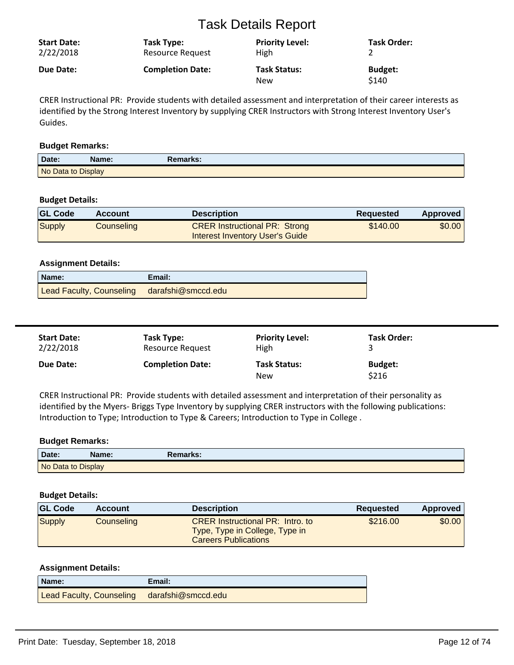### Task Details Report

| <b>Start Date:</b> | Task Type:              | <b>Priority Level:</b>            | <b>Task Order:</b>      |
|--------------------|-------------------------|-----------------------------------|-------------------------|
| 2/22/2018          | <b>Resource Request</b> | High                              |                         |
| <b>Due Date:</b>   | <b>Completion Date:</b> | <b>Task Status:</b><br><b>New</b> | <b>Budget:</b><br>\$140 |

CRER Instructional PR: Provide students with detailed assessment and interpretation of their career interests as identified by the Strong Interest Inventory by supplying CRER Instructors with Strong Interest Inventory User's Guides.

### **Budget Remarks:**

| Date:              | Name: | Remarks: |
|--------------------|-------|----------|
| No Data to Display |       |          |

### **Budget Details:**

| <b>GL Code</b> | <b>Account</b>    | <b>Description</b>                   | <b>Requested</b> | Approved |
|----------------|-------------------|--------------------------------------|------------------|----------|
| Supply         | <b>Counseling</b> | <b>CRER Instructional PR: Strong</b> | \$140.00         | \$0.00   |
|                |                   | Interest Inventory User's Guide      |                  |          |

### **Assignment Details:**

| Name:                                       | Email: |
|---------------------------------------------|--------|
| Lead Faculty, Counseling darafshi@smccd.edu |        |

| <b>Start Date:</b> | Task Type:              | <b>Priority Level:</b>            | <b>Task Order:</b>      |
|--------------------|-------------------------|-----------------------------------|-------------------------|
| 2/22/2018          | Resource Request        | High                              |                         |
| Due Date:          | <b>Completion Date:</b> | <b>Task Status:</b><br><b>New</b> | <b>Budget:</b><br>\$216 |

CRER Instructional PR: Provide students with detailed assessment and interpretation of their personality as identified by the Myers- Briggs Type Inventory by supplying CRER instructors with the following publications: Introduction to Type; Introduction to Type & Careers; Introduction to Type in College .

### **Budget Remarks:**

| Date:              | Name: | Remarks: |
|--------------------|-------|----------|
| No Data to Display |       |          |

### **Budget Details:**

| <b>GL Code</b> | <b>Account</b> | <b>Description</b>                                                                                       | Reauested | Approved |
|----------------|----------------|----------------------------------------------------------------------------------------------------------|-----------|----------|
| Supply         | Counseling     | <b>CRER Instructional PR: Intro. to</b><br>Type, Type in College, Type in<br><b>Careers Publications</b> | \$216.00  | \$0.00   |

| Name:                                       | Email: |
|---------------------------------------------|--------|
| Lead Faculty, Counseling darafshi@smccd.edu |        |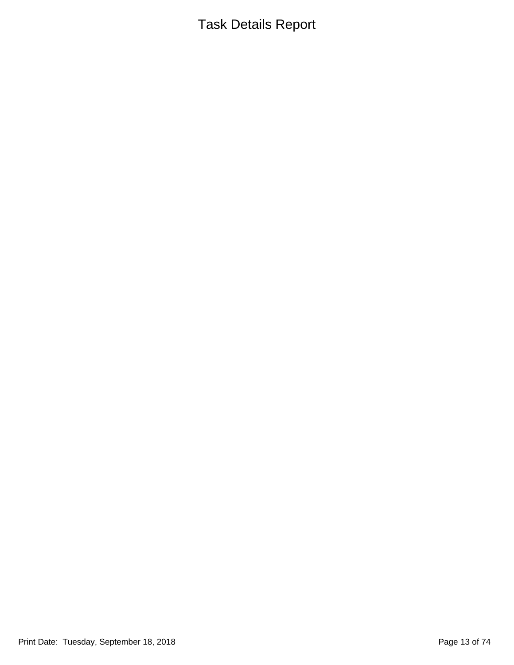# Task Details Report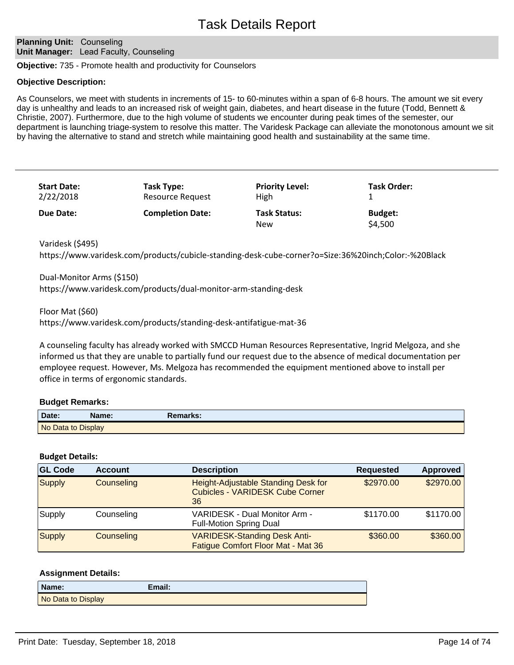### **Planning Unit: Counseling Unit Manager:** Lead Faculty, Counseling

**Objective:** 735 - Promote health and productivity for Counselors

### **Objective Description:**

As Counselors, we meet with students in increments of 15- to 60-minutes within a span of 6-8 hours. The amount we sit every day is unhealthy and leads to an increased risk of weight gain, diabetes, and heart disease in the future (Todd, Bennett & Christie, 2007). Furthermore, due to the high volume of students we encounter during peak times of the semester, our department is launching triage-system to resolve this matter. The Varidesk Package can alleviate the monotonous amount we sit by having the alternative to stand and stretch while maintaining good health and sustainability at the same time.

| <b>Start Date:</b><br>2/22/2018 | Task Type:<br>Resource Request | <b>Priority Level:</b><br>High    | <b>Task Order:</b>        |  |
|---------------------------------|--------------------------------|-----------------------------------|---------------------------|--|
| <b>Due Date:</b>                | <b>Completion Date:</b>        | <b>Task Status:</b><br><b>New</b> | <b>Budget:</b><br>\$4,500 |  |

Varidesk (\$495)

https://www.varidesk.com/products/cubicle-standing-desk-cube-corner?o=Size:36%20inch;Color:-%20Black

Dual-Monitor Arms (\$150) https://www.varidesk.com/products/dual-monitor-arm-standing-desk

Floor Mat (\$60)

https://www.varidesk.com/products/standing-desk-antifatigue-mat-36

A counseling faculty has already worked with SMCCD Human Resources Representative, Ingrid Melgoza, and she informed us that they are unable to partially fund our request due to the absence of medical documentation per employee request. However, Ms. Melgoza has recommended the equipment mentioned above to install per office in terms of ergonomic standards.

### **Budget Remarks:**

| Date:              | Name: | Remarks: |  |
|--------------------|-------|----------|--|
| No Data to Display |       |          |  |

### **Budget Details:**

| <b>GL Code</b> | <b>Account</b> | <b>Description</b>                                                                  | <b>Requested</b> | <b>Approved</b> |
|----------------|----------------|-------------------------------------------------------------------------------------|------------------|-----------------|
| Supply         | Counseling     | Height-Adjustable Standing Desk for<br><b>Cubicles - VARIDESK Cube Corner</b><br>36 | \$2970.00        | \$2970.00       |
| Supply         | Counseling     | VARIDESK - Dual Monitor Arm -<br><b>Full-Motion Spring Dual</b>                     | \$1170.00        | \$1170.00       |
| Supply         | Counseling     | <b>VARIDESK-Standing Desk Anti-</b><br>Fatigue Comfort Floor Mat - Mat 36           | \$360.00         | \$360.00        |

| Name:              | Email: |
|--------------------|--------|
| No Data to Display |        |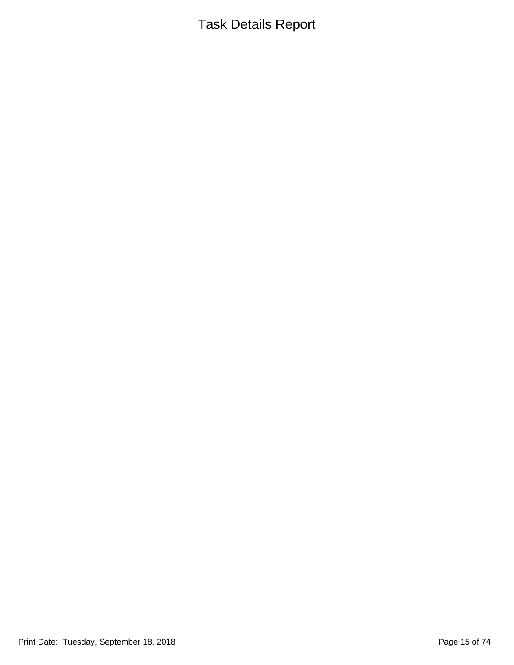# Task Details Report